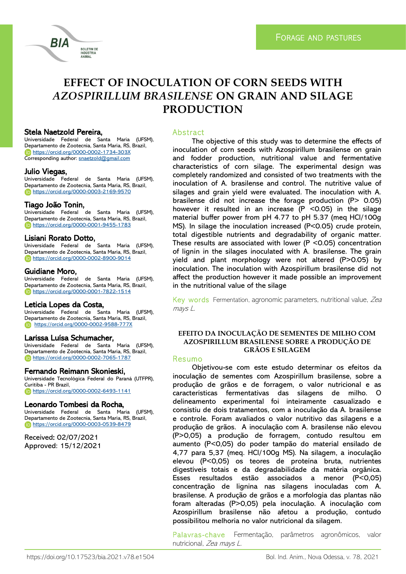

## Stela Naetzold Pereira,

BIA

Universidade Federal de Santa Maria (UFSM), Departamento de Zootecnia, Santa Maria, RS, Brazil, <https://orcid.org/0000-0002-1734-303X> Corresponding author: [snaetzold@gmail.com](file:///C:/Users/lucas/Desktop/snaetzold@gmail.com)

**BOLETIM DE INDÚSTRIA** ANIMAL

#### Julio Viegas,

Universidade Federal de Santa Maria (UFSM), Departamento de Zootecnia, Santa Maria, RS, Brazil, <https://orcid.org/0000-0003-2169-9570>

#### Tiago João Tonin,

Universidade Federal de Santa Maria (UFSM), Departamento de Zootecnia, Santa Maria, RS, Brazil, <https://orcid.org/0000-0001-9455-1783>

# Lisiani Rorato Dotto,

Universidade Federal de Santa Maria (UFSM), Departamento de Zootecnia, Santa Maria, RS, Brazil, <https://orcid.org/0000-0002-8900-9014>

#### Guidiane Moro,

Universidade Federal de Santa Maria (UFSM), Departamento de Zootecnia, Santa Maria, RS, Brazil, <https://orcid.org/0000-0001-7822-1514>

#### Leticia Lopes da Costa,

Universidade Federal de Santa Maria (UFSM), Departamento de Zootecnia, Santa Maria, RS, Brazil, <https://orcid.org/0000-0002-9588-777X>

#### Larissa Luísa Schumacher,

Universidade Federal de Santa Maria (UFSM), Departamento de Zootecnia, Santa Maria, RS, Brazil, <https://orcid.org/0000-0002-7065-1787>

#### Fernando Reimann Skonieski,

Universidade Tecnológica Federal do Paraná (UTFPR), Curitiba - PR Brazil, <https://orcid.org/0000-0002-6493-1141>

#### Leonardo Tombesi da Rocha,

Universidade Federal de Santa Maria (UFSM), Departamento de Zootecnia, Santa Maria, RS, Brazil, <https://orcid.org/0000-0003-0539-8479>

Received: 02/07/2021 Approved: 15/12/2021

### Abstract

The objective of this study was to determine the effects of inoculation of corn seeds with Azospirillum brasilense on grain and fodder production, nutritional value and fermentative characteristics of corn silage. The experimental design was completely randomized and consisted of two treatments with the inoculation of A. brasilense and control. The nutritive value of silages and grain yield were evaluated. The inoculation with A. brasilense did not increase the forage production (P> 0.05) however it resulted in an increase (P <0.05) in the silage material buffer power from pH 4.77 to pH 5.37 (meq HCl/100g MS). In silage the inoculation increased (P<0.05) crude protein, total digestible nutrients and degradability of organic matter. These results are associated with lower (P <0.05) concentration of lignin in the silages inoculated with A. brasilense. The grain yield and plant morphology were not altered (P>0.05) by inoculation. The inoculation with Azospirillum brasilense did not affect the production however it made possible an improvement in the nutritional value of the silage

Key words Fermentation, agronomic parameters, nutritional value, Zea mays <sup>L</sup>.

## **EFEITO DA INOCULAÇÃO DE SEMENTES DE MILHO COM AZOSPIRILLUM BRASILENSE SOBRE A PRODUÇÃO DE GRÃOS E SILAGEM**

#### Resumo

Objetivou-se com este estudo determinar os efeitos da inoculação de sementes com Azospirillum brasilense, sobre a produção de grãos e de forragem, o valor nutricional e as características fermentativas das silagens de milho. O delineamento experimental foi inteiramente casualizado e consistiu de dois tratamentos, com a inoculação da A. brasilense e controle. Foram avaliados o valor nutritivo das silagens e a produção de grãos. A inoculação com A. brasilense não elevou (P>0,05) a produção de forragem, contudo resultou em aumento (P<0,05) do poder tampão do material ensilado de 4,77 para 5,37 (meq. HCl/100g MS). Na silagem, a inoculação elevou (P<0,05) os teores de proteína bruta, nutrientes digestíveis totais e da degradabilidade da matéria orgânica. Esses resultados estão associados a menor (P<0,05) concentração de lignina nas silagens inoculadas com A. brasilense. A produção de grãos e a morfologia das plantas não foram alteradas (P>0,05) pela inoculação. A inoculação com Azospirillum brasilense não afetou a produção, contudo possibilitou melhoria no valor nutricional da silagem.

Palavras-chave Fermentação, parâmetros agronômicos, valor nutricional, Zea mays L.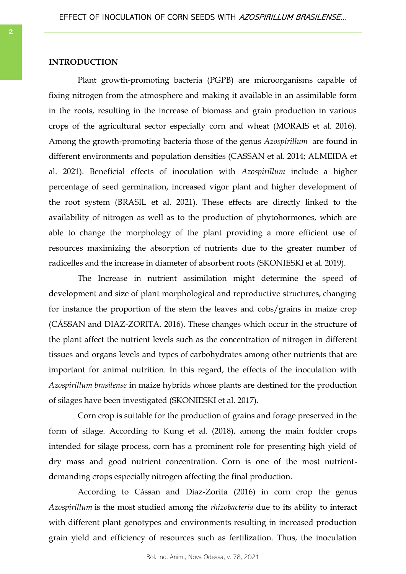## **INTRODUCTION**

Plant growth-promoting bacteria (PGPB) are microorganisms capable of fixing nitrogen from the atmosphere and making it available in an assimilable form in the roots, resulting in the increase of biomass and grain production in various crops of the agricultural sector especially corn and wheat (MORAIS et al. 2016). Among the growth-promoting bacteria those of the genus *Azospirillum* are found in different environments and population densities (CASSAN et al. 2014; ALMEIDA et al. 2021). Beneficial effects of inoculation with *Azospirillum* include a higher percentage of seed germination, increased vigor plant and higher development of the root system (BRASIL et al. 2021). These effects are directly linked to the availability of nitrogen as well as to the production of phytohormones, which are able to change the morphology of the plant providing a more efficient use of resources maximizing the absorption of nutrients due to the greater number of radicelles and the increase in diameter of absorbent roots (SKONIESKI et al. 2019).

The Increase in nutrient assimilation might determine the speed of development and size of plant morphological and reproductive structures, changing for instance the proportion of the stem the leaves and cobs/grains in maize crop (CÁSSAN and DIAZ-ZORITA. 2016). These changes which occur in the structure of the plant affect the nutrient levels such as the concentration of nitrogen in different tissues and organs levels and types of carbohydrates among other nutrients that are important for animal nutrition. In this regard, the effects of the inoculation with *Azospirillum brasilense* in maize hybrids whose plants are destined for the production of silages have been investigated (SKONIESKI et al. 2017).

Corn crop is suitable for the production of grains and forage preserved in the form of silage. According to Kung et al. (2018), among the main fodder crops intended for silage process, corn has a prominent role for presenting high yield of dry mass and good nutrient concentration. Corn is one of the most nutrientdemanding crops especially nitrogen affecting the final production.

According to Cássan and Diaz-Zorita (2016) in corn crop the genus *Azospirillum* is the most studied among the *rhizobacteria* due to its ability to interact with different plant genotypes and environments resulting in increased production grain yield and efficiency of resources such as fertilization. Thus, the inoculation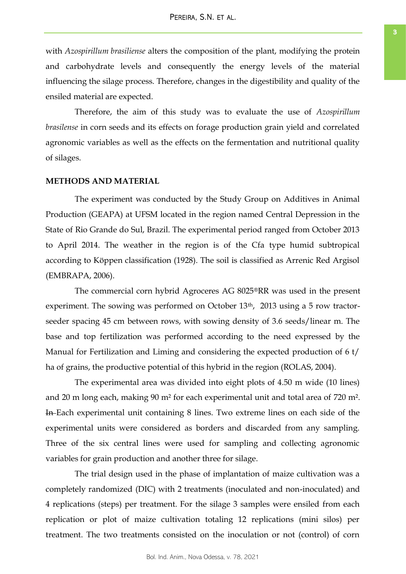with *Azospirillum brasiliense* alters the composition of the plant, modifying the protein and carbohydrate levels and consequently the energy levels of the material influencing the silage process. Therefore, changes in the digestibility and quality of the ensiled material are expected.

Therefore, the aim of this study was to evaluate the use of *Azospirillum brasilense* in corn seeds and its effects on forage production grain yield and correlated agronomic variables as well as the effects on the fermentation and nutritional quality of silages.

#### **METHODS AND MATERIAL**

The experiment was conducted by the Study Group on Additives in Animal Production (GEAPA) at UFSM located in the region named Central Depression in the State of Rio Grande do Sul, Brazil. The experimental period ranged from October 2013 to April 2014. The weather in the region is of the Cfa type humid subtropical according to Köppen classification (1928). The soil is classified as Arrenic Red Argisol (EMBRAPA, 2006).

The commercial corn hybrid Agroceres AG 8025®RR was used in the present experiment. The sowing was performed on October 13<sup>th</sup>, 2013 using a 5 row tractorseeder spacing 45 cm between rows, with sowing density of 3.6 seeds/linear m. The base and top fertilization was performed according to the need expressed by the Manual for Fertilization and Liming and considering the expected production of 6 t/ ha of grains, the productive potential of this hybrid in the region (ROLAS, 2004).

The experimental area was divided into eight plots of 4.50 m wide (10 lines) and 20 m long each, making 90 m² for each experimental unit and total area of 720 m². In Each experimental unit containing 8 lines. Two extreme lines on each side of the experimental units were considered as borders and discarded from any sampling. Three of the six central lines were used for sampling and collecting agronomic variables for grain production and another three for silage.

The trial design used in the phase of implantation of maize cultivation was a completely randomized (DIC) with 2 treatments (inoculated and non-inoculated) and 4 replications (steps) per treatment. For the silage 3 samples were ensiled from each replication or plot of maize cultivation totaling 12 replications (mini silos) per treatment. The two treatments consisted on the inoculation or not (control) of corn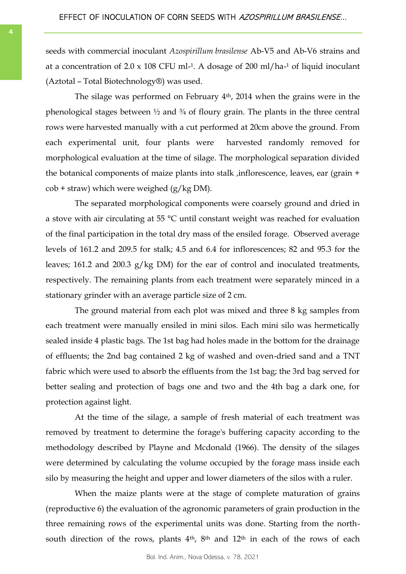seeds with commercial inoculant *Azospirillum brasilense* Ab-V5 and Ab-V6 strains and at a concentration of  $2.0 \times 108$  CFU ml<sup>-1</sup>. A dosage of  $200$  ml/ha<sup>-1</sup> of liquid inoculant (Aztotal – Total Biotechnology®) was used.

The silage was performed on February 4th, 2014 when the grains were in the phenological stages between  $\frac{1}{2}$  and  $\frac{3}{4}$  of floury grain. The plants in the three central rows were harvested manually with a cut performed at 20cm above the ground. From each experimental unit, four plants were harvested randomly removed for morphological evaluation at the time of silage. The morphological separation divided the botanical components of maize plants into stalk ,inflorescence, leaves, ear (grain +  $\cosh$  + straw) which were weighed (g/kg DM).

The separated morphological components were coarsely ground and dried in a stove with air circulating at 55 °C until constant weight was reached for evaluation of the final participation in the total dry mass of the ensiled forage. Observed average levels of 161.2 and 209.5 for stalk; 4.5 and 6.4 for inflorescences; 82 and 95.3 for the leaves; 161.2 and 200.3 g/kg DM) for the ear of control and inoculated treatments, respectively. The remaining plants from each treatment were separately minced in a stationary grinder with an average particle size of 2 cm.

The ground material from each plot was mixed and three 8 kg samples from each treatment were manually ensiled in mini silos. Each mini silo was hermetically sealed inside 4 plastic bags. The 1st bag had holes made in the bottom for the drainage of effluents; the 2nd bag contained 2 kg of washed and oven-dried sand and a TNT fabric which were used to absorb the effluents from the 1st bag; the 3rd bag served for better sealing and protection of bags one and two and the 4th bag a dark one, for protection against light.

At the time of the silage, a sample of fresh material of each treatment was removed by treatment to determine the forage's buffering capacity according to the methodology described by Playne and Mcdonald (1966). The density of the silages were determined by calculating the volume occupied by the forage mass inside each silo by measuring the height and upper and lower diameters of the silos with a ruler.

When the maize plants were at the stage of complete maturation of grains (reproductive 6) the evaluation of the agronomic parameters of grain production in the three remaining rows of the experimental units was done. Starting from the northsouth direction of the rows, plants  $4<sup>th</sup>$ ,  $8<sup>th</sup>$  and  $12<sup>th</sup>$  in each of the rows of each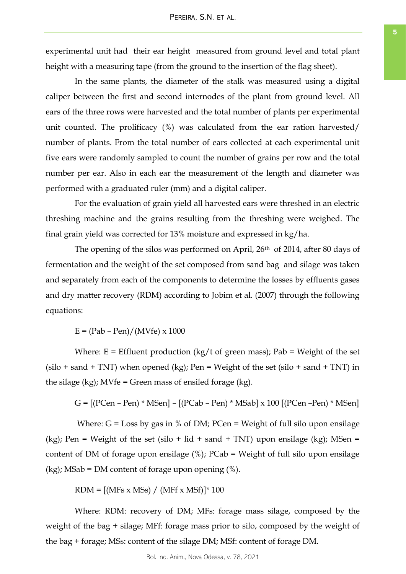experimental unit had their ear height measured from ground level and total plant height with a measuring tape (from the ground to the insertion of the flag sheet).

In the same plants, the diameter of the stalk was measured using a digital caliper between the first and second internodes of the plant from ground level. All ears of the three rows were harvested and the total number of plants per experimental unit counted. The prolificacy (%) was calculated from the ear ration harvested/ number of plants. From the total number of ears collected at each experimental unit five ears were randomly sampled to count the number of grains per row and the total number per ear. Also in each ear the measurement of the length and diameter was performed with a graduated ruler (mm) and a digital caliper.

For the evaluation of grain yield all harvested ears were threshed in an electric threshing machine and the grains resulting from the threshing were weighed. The final grain yield was corrected for 13% moisture and expressed in kg/ha.

The opening of the silos was performed on April, 26<sup>th</sup> of 2014, after 80 days of fermentation and the weight of the set composed from sand bag and silage was taken and separately from each of the components to determine the losses by effluents gases and dry matter recovery (RDM) according to Jobim et al. (2007) through the following equations:

 $E = (Pab - Pen)/(MVfe) \times 1000$ 

Where:  $E = E$  Effluent production (kg/t of green mass); Pab = Weight of the set  $(silo + sand + TNT)$  when opened  $(kg)$ ; Pen = Weight of the set  $(silo + sand + TNT)$  in the silage  $(kg)$ ; MVfe = Green mass of ensiled forage  $(kg)$ .

G = [(PCen – Pen) \* MSen] – [(PCab – Pen) \* MSab] x 100 [(PCen –Pen) \* MSen]

Where:  $G = Loss$  by gas in % of DM; PCen = Weight of full silo upon ensilage (kg); Pen = Weight of the set (silo + lid + sand + TNT) upon ensilage (kg); MSen = content of DM of forage upon ensilage (%); PCab = Weight of full silo upon ensilage  $(kg)$ ; MSab = DM content of forage upon opening  $(\%)$ .

 $RDM = [(MFs \times MSs) / (MFf \times MSf)]*100$ 

Where: RDM: recovery of DM; MFs: forage mass silage, composed by the weight of the bag + silage; MFf: forage mass prior to silo, composed by the weight of the bag + forage; MSs: content of the silage DM; MSf: content of forage DM.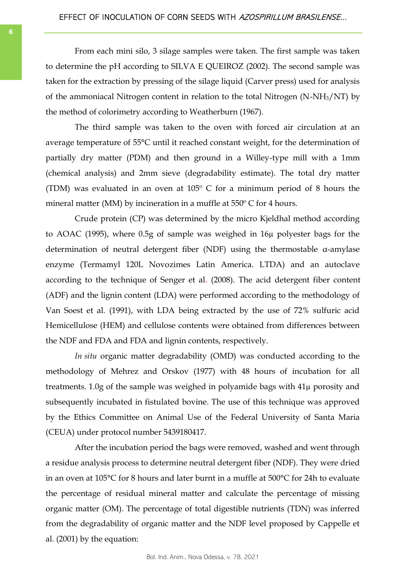From each mini silo, 3 silage samples were taken. The first sample was taken to determine the pH according to SILVA E QUEIROZ (2002). The second sample was taken for the extraction by pressing of the silage liquid (Carver press) used for analysis of the ammoniacal Nitrogen content in relation to the total Nitrogen (N-NH3/NT) by the method of colorimetry according to Weatherburn (1967).

The third sample was taken to the oven with forced air circulation at an average temperature of 55°C until it reached constant weight, for the determination of partially dry matter (PDM) and then ground in a Willey-type mill with a 1mm (chemical analysis) and 2mm sieve (degradability estimate). The total dry matter (TDM) was evaluated in an oven at  $105^{\circ}$  C for a minimum period of 8 hours the mineral matter (MM) by incineration in a muffle at 550º C for 4 hours.

Crude protein (CP) was determined by the micro Kjeldhal method according to AOAC (1995), where 0.5g of sample was weighed in 16µ polyester bags for the determination of neutral detergent fiber (NDF) using the thermostable α-amylase enzyme (Termamyl 120L Novozimes Latin America. LTDA) and an autoclave according to the technique of Senger et al. (2008). The acid detergent fiber content (ADF) and the lignin content (LDA) were performed according to the methodology of Van Soest et al. (1991), with LDA being extracted by the use of 72% sulfuric acid Hemicellulose (HEM) and cellulose contents were obtained from differences between the NDF and FDA and FDA and lignin contents, respectively.

*In situ* organic matter degradability (OMD) was conducted according to the methodology of Mehrez and Orskov (1977) with 48 hours of incubation for all treatments. 1.0g of the sample was weighed in polyamide bags with 41µ porosity and subsequently incubated in fistulated bovine. The use of this technique was approved by the Ethics Committee on Animal Use of the Federal University of Santa Maria (CEUA) under protocol number 5439180417.

After the incubation period the bags were removed, washed and went through a residue analysis process to determine neutral detergent fiber (NDF). They were dried in an oven at 105°C for 8 hours and later burnt in a muffle at 500°C for 24h to evaluate the percentage of residual mineral matter and calculate the percentage of missing organic matter (OM). The percentage of total digestible nutrients (TDN) was inferred from the degradability of organic matter and the NDF level proposed by Cappelle et al. (2001) by the equation: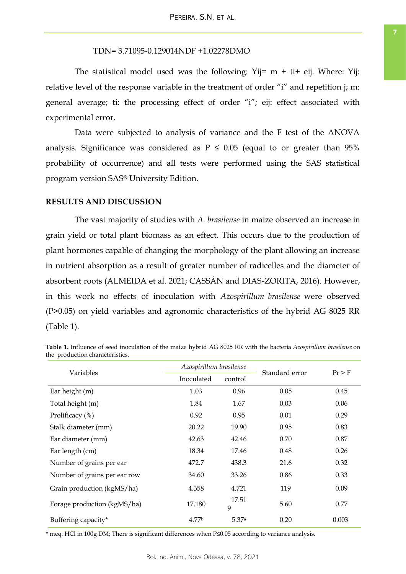TDN= 3.71095-0.129014NDF +1.02278DMO

The statistical model used was the following:  $Yij = m + ti + eij$ . Where: Yij: relative level of the response variable in the treatment of order "i" and repetition j; m: general average; ti: the processing effect of order "i"; eij: effect associated with experimental error.

Data were subjected to analysis of variance and the F test of the ANOVA analysis. Significance was considered as  $P \le 0.05$  (equal to or greater than 95% probability of occurrence) and all tests were performed using the SAS statistical program version SAS® University Edition.

# **RESULTS AND DISCUSSION**

The vast majority of studies with *A. brasilense* in maize observed an increase in grain yield or total plant biomass as an effect. This occurs due to the production of plant hormones capable of changing the morphology of the plant allowing an increase in nutrient absorption as a result of greater number of radicelles and the diameter of absorbent roots (ALMEIDA et al. 2021; CASSÁN and DIAS-ZORITA, 2016). However, in this work no effects of inoculation with *Azospirillum brasilense* were observed (P>0.05) on yield variables and agronomic characteristics of the hybrid AG 8025 RR (Table 1).

| Variables                    | Azospirillum brasilense |            | Standard error | $Pr$ > F |
|------------------------------|-------------------------|------------|----------------|----------|
|                              | Inoculated              | control    |                |          |
| Ear height (m)               | 1.03                    | 0.96       | 0.05           | 0.45     |
| Total height (m)             | 1.84                    | 1.67       | 0.03           | 0.06     |
| Prolificacy (%)              | 0.92                    | 0.95       | 0.01           | 0.29     |
| Stalk diameter (mm)          | 20.22                   | 19.90      | 0.95           | 0.83     |
| Ear diameter (mm)            | 42.63                   | 42.46      | 0.70           | 0.87     |
| Ear length (cm)              | 18.34                   | 17.46      | 0.48           | 0.26     |
| Number of grains per ear     | 472.7                   | 438.3      | 21.6           | 0.32     |
| Number of grains per ear row | 34.60                   | 33.26      | 0.86           | 0.33     |
| Grain production (kgMS/ha)   | 4.358                   | 4.721      | 119            | 0.09     |
| Forage production (kgMS/ha)  | 17.180                  | 17.51<br>9 | 5.60           | 0.77     |
| Buffering capacity*          | 4.77 <sup>b</sup>       | 5.37a      | 0.20           | 0.003    |

**Table 1.** Influence of seed inoculation of the maize hybrid AG 8025 RR with the bacteria *Azospirillum brasilense* on the production characteristics.

\* meq. HCl in 100g DM; There is significant differences when P≤0.05 according to variance analysis.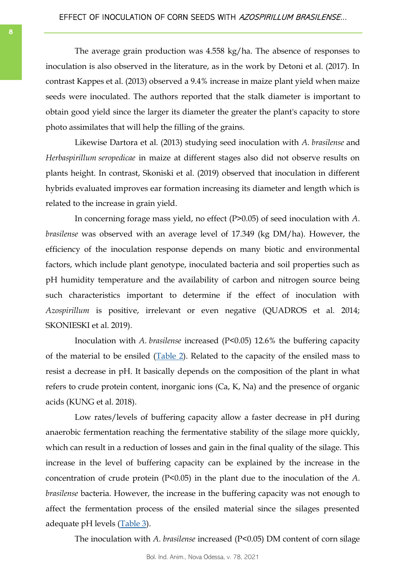The average grain production was 4.558 kg/ha. The absence of responses to inoculation is also observed in the literature, as in the work by Detoni et al. (2017). In contrast Kappes et al. (2013) observed a 9.4% increase in maize plant yield when maize seeds were inoculated. The authors reported that the stalk diameter is important to obtain good yield since the larger its diameter the greater the plant's capacity to store photo assimilates that will help the filling of the grains.

Likewise Dartora et al. (2013) studying seed inoculation with *A. brasilense* and *Herbaspirillum seropedicae* in maize at different stages also did not observe results on plants height. In contrast, Skoniski et al. (2019) observed that inoculation in different hybrids evaluated improves ear formation increasing its diameter and length which is related to the increase in grain yield.

In concerning forage mass yield, no effect (P>0.05) of seed inoculation with *A. brasilense* was observed with an average level of 17.349 (kg DM/ha). However, the efficiency of the inoculation response depends on many biotic and environmental factors, which include plant genotype, inoculated bacteria and soil properties such as pH humidity temperature and the availability of carbon and nitrogen source being such characteristics important to determine if the effect of inoculation with *Azospirillum* is positive, irrelevant or even negative (QUADROS et al. 2014; SKONIESKI et al. 2019).

Inoculation with *A. brasilense* increased (P<0.05) 12.6% the buffering capacity of the material to be ensiled  $(Table 2)$  $(Table 2)$ . Related to the capacity of the ensiled mass to resist a decrease in pH. It basically depends on the composition of the plant in what refers to crude protein content, inorganic ions (Ca, K, Na) and the presence of organic acids (KUNG et al. 2018).

Low rates/levels of buffering capacity allow a faster decrease in pH during anaerobic fermentation reaching the fermentative stability of the silage more quickly, which can result in a reduction of losses and gain in the final quality of the silage. This increase in the level of buffering capacity can be explained by the increase in the concentration of crude protein (P<0.05) in the plant due to the inoculation of the *A. brasilense* bacteria. However, the increase in the buffering capacity was not enough to affect the fermentation process of the ensiled material since the silages presented adequate pH levels [\(Table 3\)](#page-8-0).

The inoculation with *A. brasilense* increased (P<0.05) DM content of corn silage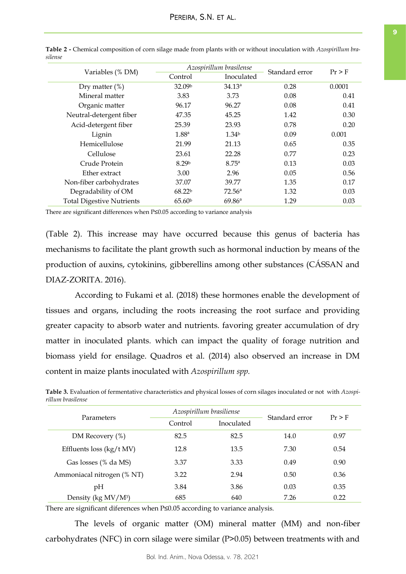| Variables (% DM)                 |                    | Azospirillum brasilense | Standard error | $Pr$ > F |
|----------------------------------|--------------------|-------------------------|----------------|----------|
|                                  | Control            | Inoculated              |                |          |
| Dry matter $(\%)$                | 32.09b             | $34.13^{a}$             | 0.28           | 0.0001   |
| Mineral matter                   | 3.83               | 3.73                    | 0.08           | 0.41     |
| Organic matter                   | 96.17              | 96.27                   | 0.08           | 0.41     |
| Neutral-detergent fiber          | 47.35              | 45.25                   | 1.42           | 0.30     |
| Acid-detergent fiber             | 25.39              | 23.93                   | 0.78           | 0.20     |
| Lignin                           | 1.88 <sup>a</sup>  | 1.34 <sup>b</sup>       | 0.09           | 0.001    |
| Hemicellulose                    | 21.99              | 21.13                   | 0.65           | 0.35     |
| Cellulose                        | 23.61              | 22.28                   | 0.77           | 0.23     |
| Crude Protein                    | 8.29 <sup>b</sup>  | 8.75 <sup>a</sup>       | 0.13           | 0.03     |
| Ether extract                    | 3.00               | 2.96                    | 0.05           | 0.56     |
| Non-fiber carbohydrates          | 37.07              | 39.77                   | 1.35           | 0.17     |
| Degradability of OM              | 68.22 <sup>b</sup> | $72.56^{\rm a}$         | 1.32           | 0.03     |
| <b>Total Digestive Nutrients</b> | 65.60 <sup>b</sup> | 69.86 <sup>a</sup>      | 1.29           | 0.03     |

<span id="page-8-0"></span>**Table 2 -** Chemical composition of corn silage made from plants with or without inoculation with *Azospirillum brasilense*

There are significant differences when P≤0.05 according to variance analysis

(Table 2). This increase may have occurred because this genus of bacteria has mechanisms to facilitate the plant growth such as hormonal induction by means of the production of auxins, cytokinins, gibberellins among other substances (CÁSSAN and DIAZ-ZORITA. 2016).

According to Fukami et al. (2018) these hormones enable the development of tissues and organs, including the roots increasing the root surface and providing greater capacity to absorb water and nutrients. favoring greater accumulation of dry matter in inoculated plants. which can impact the quality of forage nutrition and biomass yield for ensilage. Quadros et al. (2014) also observed an increase in DM content in maize plants inoculated with *Azospirillum spp.*

| Parameters                      |         | Azospirillum brasiliense |                | $Pr$ > F |
|---------------------------------|---------|--------------------------|----------------|----------|
|                                 | Control | Inoculated               | Standard error |          |
| DM Recovery (%)                 | 82.5    | 82.5                     | 14.0           | 0.97     |
| Effluents loss (kg/t MV)        | 12.8    | 13.5                     | 7.30           | 0.54     |
| Gas losses (% da MS)            | 3.37    | 3.33                     | 0.49           | 0.90     |
| Ammoniacal nitrogen (% NT)      | 3.22    | 2.94                     | 0.50           | 0.36     |
| pH                              | 3.84    | 3.86                     | 0.03           | 0.35     |
| Density (kg MV/M <sup>3</sup> ) | 685     | 640                      | 7.26           | 0.22     |
|                                 |         |                          |                |          |

**Table 3.** Evaluation of fermentative characteristics and physical losses of corn silages inoculated or not with *Azospirillum brasilense*

There are significant diferences when P≤0.05 according to variance analysis.

The levels of organic matter (OM) mineral matter (MM) and non-fiber carbohydrates (NFC) in corn silage were similar (P>0.05) between treatments with and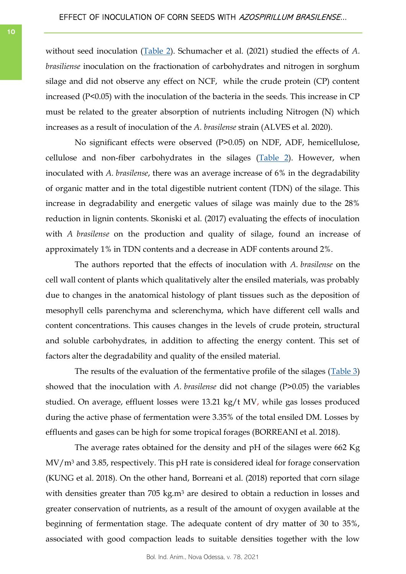without seed inoculation [\(Table 2\).](#page-8-0) Schumacher et al. (2021) studied the effects of *A. brasiliense* inoculation on the fractionation of carbohydrates and nitrogen in sorghum silage and did not observe any effect on NCF, while the crude protein (CP) content increased (P<0.05) with the inoculation of the bacteria in the seeds. This increase in CP must be related to the greater absorption of nutrients including Nitrogen (N) which increases as a result of inoculation of the *A. brasilense* strain (ALVES et al. 2020).

No significant effects were observed (P>0.05) on NDF, ADF, hemicellulose, cellulose and non-fiber carbohydrates in the silages ([Table 2\).](#page-8-0) However, when inoculated with *A. brasilense*, there was an average increase of 6% in the degradability of organic matter and in the total digestible nutrient content (TDN) of the silage. This increase in degradability and energetic values of silage was mainly due to the 28% reduction in lignin contents. Skoniski et al. (2017) evaluating the effects of inoculation with *A brasilense* on the production and quality of silage, found an increase of approximately 1% in TDN contents and a decrease in ADF contents around 2%.

The authors reported that the effects of inoculation with *A. brasilense* on the cell wall content of plants which qualitatively alter the ensiled materials, was probably due to changes in the anatomical histology of plant tissues such as the deposition of mesophyll cells parenchyma and sclerenchyma, which have different cell walls and content concentrations. This causes changes in the levels of crude protein, structural and soluble carbohydrates, in addition to affecting the energy content. This set of factors alter the degradability and quality of the ensiled material.

The results of the evaluation of the fermentative profile of the silages ([Table 3\)](#page-8-0) showed that the inoculation with *A. brasilense* did not change (P>0.05) the variables studied. On average, effluent losses were 13.21 kg/t MV, while gas losses produced during the active phase of fermentation were 3.35% of the total ensiled DM. Losses by effluents and gases can be high for some tropical forages (BORREANI et al. 2018).

The average rates obtained for the density and pH of the silages were 662 Kg  $MV/m<sup>3</sup>$  and 3.85, respectively. This pH rate is considered ideal for forage conservation (KUNG et al. 2018). On the other hand, Borreani et al. (2018) reported that corn silage with densities greater than 705 kg.m<sup>3</sup> are desired to obtain a reduction in losses and greater conservation of nutrients, as a result of the amount of oxygen available at the beginning of fermentation stage. The adequate content of dry matter of 30 to 35%, associated with good compaction leads to suitable densities together with the low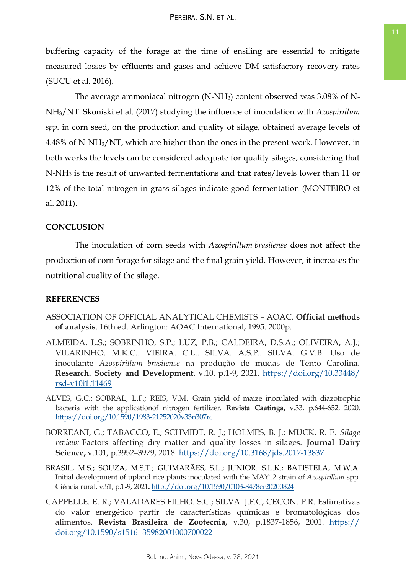buffering capacity of the forage at the time of ensiling are essential to mitigate measured losses by effluents and gases and achieve DM satisfactory recovery rates (SUCU et al. 2016).

The average ammoniacal nitrogen (N-NH3) content observed was 3.08% of N-NH3/NT. Skoniski et al. (2017) studying the influence of inoculation with *Azospirillum spp*. in corn seed, on the production and quality of silage, obtained average levels of 4.48% of N-NH3/NT, which are higher than the ones in the present work. However, in both works the levels can be considered adequate for quality silages, considering that N-NH<sup>3</sup> is the result of unwanted fermentations and that rates/levels lower than 11 or 12% of the total nitrogen in grass silages indicate good fermentation (MONTEIRO et al. 2011).

## **CONCLUSION**

The inoculation of corn seeds with *Azospirillum brasilense* does not affect the production of corn forage for silage and the final grain yield. However, it increases the nutritional quality of the silage.

## **REFERENCES**

- ASSOCIATION OF OFFICIAL ANALYTICAL CHEMISTS AOAC. **Official methods of analysis**. 16th ed. Arlington: AOAC International, 1995. 2000p.
- ALMEIDA, L.S.; SOBRINHO, S.P.; LUZ, P.B.; CALDEIRA, D.S.A.; OLIVEIRA, A.J.; VILARINHO. M.K.C.. VIEIRA. C.L.. SILVA. A.S.P.. SILVA. G.V.B. Uso de inoculante *Azospirillum brasilense* na produção de mudas de Tento Carolina. **Research. Society and Development**, v.10, p.1-9, 2021. [https://doi.org/10.33448/](https://doi.org/10.33448/rsd-v10i1.11469) [rsd-v10i1.11469](https://doi.org/10.33448/rsd-v10i1.11469)
- ALVES, G.C.; SOBRAL, L.F.; REIS, V.M. Grain yield of maize inoculated with diazotrophic bacteria with the applicationof nitrogen fertilizer. **Revista Caatinga,** v.33, p.644-652, 2020. <https://doi.org/10.1590/1983-21252020v33n307rc>
- BORREANI, G.; TABACCO, E.; SCHMIDT, R. J.; HOLMES, B. J.; MUCK, R. E. *Silage review:* Factors affecting dry matter and quality losses in silages. **Journal Dairy Science,** v.101, p.3952–3979, 2018.<https://doi.org/10.3168/jds.2017-13837>
- BRASIL, M.S.; SOUZA, M.S.T.; GUIMARÃES, S.L.; JUNIOR. S.L.K.; BATISTELA, M.W.A. Initial development of upland rice plants inoculated with the MAY12 strain of *Azospirillum* spp. Ciência rural, v.51, p.1-9, 2021**.** <http://doi.org/10.1590/0103-8478cr20200824>
- CAPPELLE. E. R.; VALADARES FILHO. S.C.; SILVA. J.F.C; CECON. P.R. Estimativas do valor energético partir de características químicas e bromatológicas dos alimentos. **Revista Brasileira de Zootecnia,** v.30, p.1837-1856, 2001. [https://](https://doi.org/10.1590/s1516-%2035982001000700022) [doi.org/10.1590/s1516-](https://doi.org/10.1590/s1516-%2035982001000700022) 35982001000700022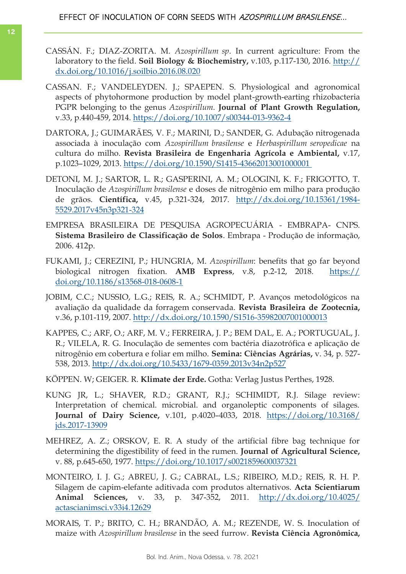- CASSÁN. F.; DIAZ-ZORITA. M. *Azospirillum sp*. In current agriculture: From the laboratory to the field. **Soil Biology & Biochemistry,** v.103, p.117-130, 2016. [http://](http://dx.doi.org/10.1016/j.soilbio.2016.08.020) [dx.doi.org/10.1016/j.soilbio.2016.08.020](http://dx.doi.org/10.1016/j.soilbio.2016.08.020)
- CASSAN. F.; VANDELEYDEN. J.; SPAEPEN. S. Physiological and agronomical aspects of phytohormone production by model plant-growth-earting rhizobacteria PGPR belonging to the genus *Azospirillum.* **Journal of Plant Growth Regulation,** v.33, p.440-459, 2014.<https://doi.org/10.1007/s00344-013-9362-4>
- DARTORA, J.; GUIMARÃES, V. F.; MARINI, D.; SANDER, G. Adubação nitrogenada associada à inoculação com *Azospirillum brasilense* e *Herbaspirillum seropedicae* na cultura do milho. **Revista Brasileira de Engenharia Agrícola e Ambiental,** v.17, p.1023–1029, 2013. [https://doi.org/10.1590/S1415-43662013001000001](https://doi.org/10.1590/S1415-43662013001000001 )
- DETONI, M. J.; SARTOR, L. R.; GASPERINI, A. M.; OLOGINI, K. F.; FRIGOTTO, T. Inoculação de *Azospirillum brasilense* e doses de nitrogênio em milho para produção de grãos. **Científica,** v.45, p.321-324, 2017. [http://dx.doi.org/10.15361/1984-](http://dx.doi.org/10.15361/1984-5529.2017v45n3p321-324) [5529.2017v45n3p321-324](http://dx.doi.org/10.15361/1984-5529.2017v45n3p321-324)
- EMPRESA BRASILEIRA DE PESQUISA AGROPECUÁRIA EMBRAPA- CNPS. **Sistema Brasileiro de Classificação de Solos**. Embrapa - Produção de informação, 2006. 412p.
- FUKAMI, J.; CEREZINI, P.; HUNGRIA, M. *Azospirillum*: benefits that go far beyond biological nitrogen fixation. **AMB Express**, v.8, p.2-12, 2018. [https://](https://doi.org/10.1186/s13568-018-0608-1) [doi.org/10.1186/s13568-018-0608-1](https://doi.org/10.1186/s13568-018-0608-1)
- JOBIM, C.C.; NUSSIO, L.G.; REIS, R. A.; SCHMIDT, P. Avanços metodológicos na avaliação da qualidade da forragem conservada. **Revista Brasileira de Zootecnia,** v.36, p.101-119, 2007.<http://dx.doi.org/10.1590/S1516-35982007001000013>
- KAPPES, C.; ARF, O.; ARF, M. V.; FERREIRA, J. P.; BEM DAL, E. A.; PORTUGUAL, J. R.; VILELA, R. G. Inoculação de sementes com bactéria diazotrófica e aplicação de nitrogênio em cobertura e foliar em milho. **Semina: Ciências Agrárias,** v. 34, p. 527- 538, 2013.<http://dx.doi.org/10.5433/1679-0359.2013v34n2p527>
- KÖPPEN. W; GEIGER. R. **Klimate der Erde.** Gotha: Verlag Justus Perthes, 1928.
- KUNG JR, L.; SHAVER, R.D.; GRANT, R.J.; SCHIMIDT, R.J. Silage review: Interpretation of chemical. microbial. and organoleptic components of silages. **Journal of Dairy Science,** v.101, p.4020–4033, 2018. [https://doi.org/10.3168/](https://doi.org/10.3168/jds.2017-13909) [jds.2017-13909](https://doi.org/10.3168/jds.2017-13909)
- MEHREZ, A. Z.; ORSKOV, E. R. A study of the artificial fibre bag technique for determining the digestibility of feed in the rumen. **Journal of Agricultural Science,** v. 88, p.645-650, 1977.<https://doi.org/10.1017/s0021859600037321>
- MONTEIRO, I. J. G.; ABREU, J. G.; CABRAL, L.S.; RIBEIRO, M.D.; REIS, R. H. P. Silagem de capim-elefante aditivada com produtos alternativos. **Acta Scientiarum Animal Sciences,** v. 33, p. 347-352, 2011. [http://dx.doi.org/10.4025/](http://dx.doi.org/10.4025/actascianimsci.v33i4.12629) [actascianimsci.v33i4.12629](http://dx.doi.org/10.4025/actascianimsci.v33i4.12629)
- MORAIS, T. P.; BRITO, C. H.; BRANDÃO, A. M.; REZENDE, W. S. Inoculation of maize with *Azospirillum brasilense* in the seed furrow. **Revista Ciência Agronômica,**